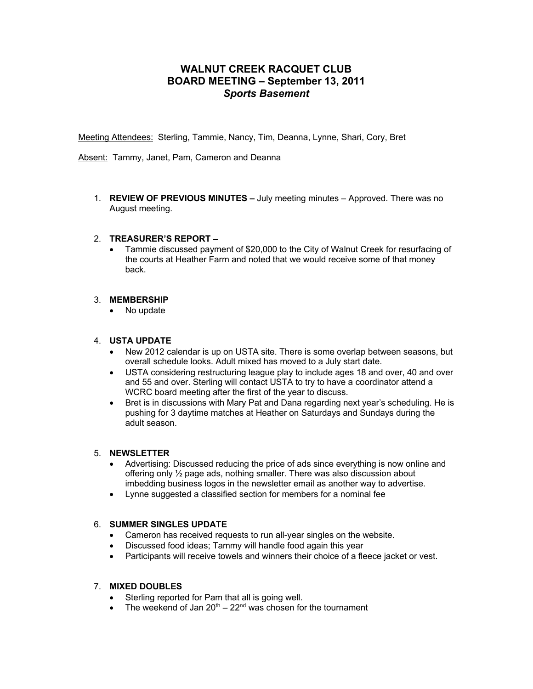# **WALNUT CREEK RACQUET CLUB BOARD MEETING – September 13, 2011** *Sports Basement*

Meeting Attendees: Sterling, Tammie, Nancy, Tim, Deanna, Lynne, Shari, Cory, Bret

Absent: Tammy, Janet, Pam, Cameron and Deanna

1. **REVIEW OF PREVIOUS MINUTES –** July meeting minutes – Approved. There was no August meeting.

## 2. **TREASURER'S REPORT –**

• Tammie discussed payment of \$20,000 to the City of Walnut Creek for resurfacing of the courts at Heather Farm and noted that we would receive some of that money back.

## 3. **MEMBERSHIP**

• No update

## 4. **USTA UPDATE**

- New 2012 calendar is up on USTA site. There is some overlap between seasons, but overall schedule looks. Adult mixed has moved to a July start date.
- USTA considering restructuring league play to include ages 18 and over, 40 and over and 55 and over. Sterling will contact USTA to try to have a coordinator attend a WCRC board meeting after the first of the year to discuss.
- Bret is in discussions with Mary Pat and Dana regarding next year's scheduling. He is pushing for 3 daytime matches at Heather on Saturdays and Sundays during the adult season.

#### 5. **NEWSLETTER**

- Advertising: Discussed reducing the price of ads since everything is now online and offering only ½ page ads, nothing smaller. There was also discussion about imbedding business logos in the newsletter email as another way to advertise.
- Lynne suggested a classified section for members for a nominal fee

# 6. **SUMMER SINGLES UPDATE**

- Cameron has received requests to run all-year singles on the website.
- Discussed food ideas; Tammy will handle food again this year
- Participants will receive towels and winners their choice of a fleece jacket or vest.

# 7. **MIXED DOUBLES**

- Sterling reported for Pam that all is going well.
- The weekend of Jan  $20^{th} 22^{nd}$  was chosen for the tournament